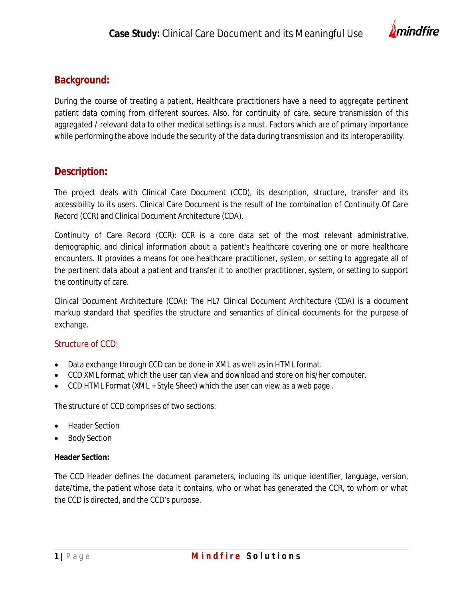

## **Background:**

During the course of treating a patient, Healthcare practitioners have a need to aggregate pertinent patient data coming from different sources. Also, for continuity of care, secure transmission of this aggregated / relevant data to other medical settings is a must. Factors which are of primary importance while performing the above include the security of the data during transmission and its interoperability.

# **Description:**

The project deals with Clinical Care Document (CCD), its description, structure, transfer and its accessibility to its users. Clinical Care Document is the result of the combination of Continuity Of Care Record (CCR) and Clinical Document Architecture (CDA).

Continuity of Care Record (CCR): CCR is a core data set of the most relevant administrative, demographic, and clinical information about a patient's healthcare covering one or more healthcare encounters. It provides a means for one healthcare practitioner, system, or setting to aggregate all of the pertinent data about a patient and transfer it to another practitioner, system, or setting to support the continuity of care.

Clinical Document Architecture (CDA): The HL7 Clinical Document Architecture (CDA) is a document markup standard that specifies the structure and semantics of clinical documents for the purpose of exchange.

### Structure of CCD:

- Data exchange through CCD can be done in XML as well as in HTML format.
- CCD XML format, which the user can view and download and store on his/her computer.
- CCD HTML Format (XML + Style Sheet) which the user can view as a web page .

The structure of CCD comprises of two sections:

- Header Section
- Body Section

### **Header Section:**

The CCD Header defines the document parameters, including its unique identifier, language, version, date/time, the patient whose data it contains, who or what has generated the CCR, to whom or what the CCD is directed, and the CCD's purpose.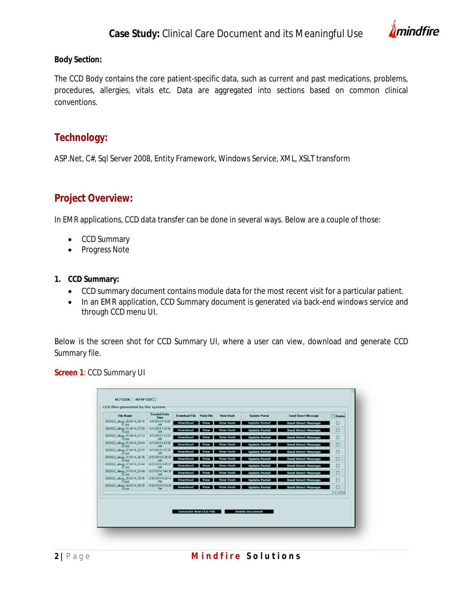

#### **Body Section:**

The CCD Body contains the core patient-specific data, such as current and past medications, problems, procedures, allergies, vitals etc. Data are aggregated into sections based on common clinical conventions.

### **Technology:**

ASP.Net, C#, Sql Server 2008, Entity Framework, Windows Service, XML, XSLT transform

### **Project Overview:**

In EMR applications, CCD data transfer can be done in several ways. Below are a couple of those:

- CCD Summary
- Progress Note
- **1. CCD Summary:**
	- CCD summary document contains module data for the most recent visit for a particular patient.
	- In an EMR application, CCD Summary document is generated via back-end windows service and through CCD menu UI.

Below is the screen shot for CCD Summary UI, where a user can view, download and generate CCD Summary file.

**Screen 1**: CCD Summary UI

| <b>File Name</b>                               | <b>Created Date</b><br>Time     | Download File   | View File   | View Hash        | <b>Update Portal</b> | <b>Send Direct Message</b> | <b>Delete</b> |
|------------------------------------------------|---------------------------------|-----------------|-------------|------------------|----------------------|----------------------------|---------------|
| 2029322_allergy_08-04-14_08-16-                | 4/8/2014 8:16:02<br>AM          | <b>Download</b> | View        | <b>View Hash</b> | <b>Update Portal</b> | <b>Send Direct Message</b> | O             |
| 2829322_allergy_01-04-14_07-20-                | 4/1/2014 7:20:16<br>AM          | Download        | <b>View</b> | <b>View Hash</b> | <b>Update Portal</b> | <b>Send Direct Hessage</b> | O             |
| 2829322_allergy_01-04-14_07-12-<br>19 und      | 4/1/2014 7:12:22<br>AM.         | <b>Download</b> | View        | <b>View Hash</b> | <b>Update Portal</b> | <b>Send Direct Message</b> | o             |
| 2829322_alergy_01-04-14_04-43-                 | 4/1/2014 4:43:26<br><b>AM</b>   | <b>Download</b> | View        | <b>View Hash</b> | <b>Update Portal</b> | <b>Send Direct Message</b> | о             |
| 2029322_allergy_01-04-14_02-37-                | 4/1/2014 2:37:24                | Download        | <b>View</b> | <b>View Hash</b> | <b>Update Portal</b> | <b>Send Direct Message</b> | о             |
| 2829322_allengy_31-03-14_06-35-                | 3/31/2014 8:35:20<br>AM.        | Download        | View        | <b>View Hash</b> | <b>Update Portal</b> | <b>Send Direct Hessage</b> | о             |
| 2829322_allergy_27.03-14_03-44                 | 3/27/2014 3:45:37               | <b>Download</b> | View        | <b>View Hash</b> | <b>Update Portal</b> | <b>Send Direct Message</b> | о             |
| 2029322_allergy_27.03-14_03-44                 | 3/27/2014 3:44:38<br>AМ         | <b>Download</b> | View        | <b>View Hash</b> | <b>Update Portal</b> | <b>Send Direct Hessage</b> | с             |
| 202022_slergy_26-03-14_05-25-                  | 3/26/2014 5:26:14<br><b>PAR</b> | <b>Download</b> | View        | <b>View Hash</b> | <b>Update Portal</b> | <b>Send Direct Hessage</b> | о             |
| 2829322 alergy 26-03-14 05-25<br>$13 \times 1$ | 3/26/2014 5:25:20<br><b>PM</b>  | <b>Download</b> | View        | <b>View Hash</b> | <b>Update Portal</b> | <b>Send Direct Message</b> | о             |
|                                                |                                 |                 |             |                  |                      |                            | 123456        |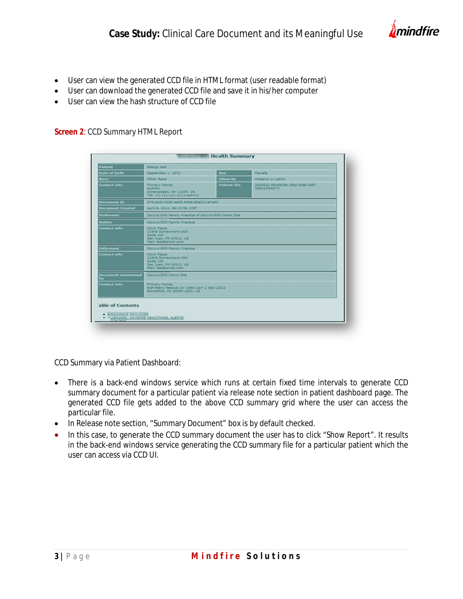

- User can view the generated CCD file in HTML format (user readable format)
- User can download the generated CCD file and save it in his/her computer
- User can view the hash structure of CCD file

#### **Screen 2**: CCD Summary HTML Report

| <b>Patient</b>                   | allergy test                                                                                      |                    |                                                  |  |  |  |
|----------------------------------|---------------------------------------------------------------------------------------------------|--------------------|--------------------------------------------------|--|--|--|
| <b>Date of birth</b>             | September 1, 1972                                                                                 | <b>Sex</b>         | Female                                           |  |  |  |
| Race                             | Other Race                                                                                        | <b>Ethnicity</b>   | <b>Hispanic or Latino</b>                        |  |  |  |
| <b>Contact info</b>              | Primary Home:<br>eatern<br>Schenectady, NY 12345, US<br>Tel: +1-111-111-1111;ext-11               | <b>Patient IDs</b> | 2829322 886d908b-3fbd-438b-84ff-<br>59921f098873 |  |  |  |
| <b>Document Id</b>               | 970c2b3c-f1d9-4e55-859d-d8a31f1a7a90                                                              |                    |                                                  |  |  |  |
| <b>Document Created</b>          | April 8, 2014, 08:15:56, CST                                                                      |                    |                                                  |  |  |  |
| <b>Performer</b>                 | Eastern 2008 Family Practice of Eastern 2008 Demo Site                                            |                    |                                                  |  |  |  |
| <b>Author</b>                    | <b>Basiura Billi Family Practice</b>                                                              |                    |                                                  |  |  |  |
| <b>Contact info</b>              | Work Place:<br>12345 Somewhere USA<br>Suite 100<br>San Juan, PR 00912, US<br>Mail: test@email.com |                    |                                                  |  |  |  |
| <b>Informant</b>                 | <b>Ballura Billi Family Practice</b>                                                              |                    |                                                  |  |  |  |
| <b>Contact info</b>              | Work Place:<br>12345 Somewhere USA<br>Suite 100<br>San Juan, PR 00912, US<br>Mail: test@email.com |                    |                                                  |  |  |  |
| <b>Document maintained</b><br>by | <b>Basicra BHR Demo Site</b>                                                                      |                    |                                                  |  |  |  |
| <b>Contact info</b>              | Primary Home:<br>Edif Metro Medical Ctr 1995 Carr 2 Ste 12012<br>BAYAMON, PR 00959-1201, US       |                    |                                                  |  |  |  |
| 'able of Contents                |                                                                                                   |                    |                                                  |  |  |  |
| · ENSURANCE PROVIDER             | ALLERGIES, ACVERSE REACTIONS, ALERTS                                                              |                    |                                                  |  |  |  |

CCD Summary via Patient Dashboard:

- There is a back-end windows service which runs at certain fixed time intervals to generate CCD summary document for a particular patient via release note section in patient dashboard page. The generated CCD file gets added to the above CCD summary grid where the user can access the particular file.
- In Release note section, "Summary Document" box is by default checked.
- In this case, to generate the CCD summary document the user has to click "Show Report". It results in the back-end windows service generating the CCD summary file for a particular patient which the user can access via CCD UI.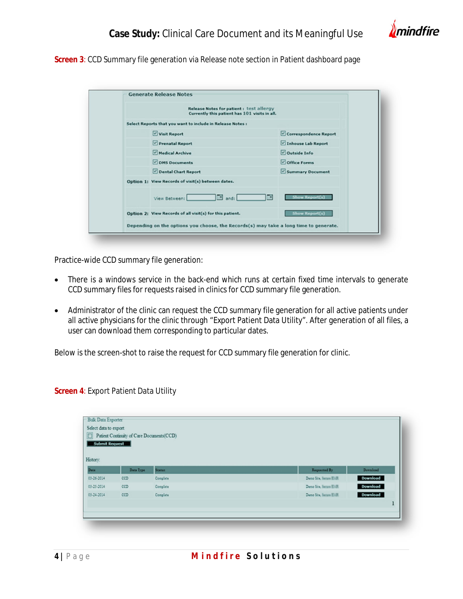# **Case Study:** Clinical Care Document and its Meaningful Use



**Screen 3**: CCD Summary file generation via Release note section in Patient dashboard page

| Release Notes for patient: test allergy<br>Currently this patient has 101 visits in all. |                       |
|------------------------------------------------------------------------------------------|-----------------------|
| Select Reports that you want to include in Release Notes :                               |                       |
| Visit Report                                                                             | Correspondence Report |
| Prenatal Report                                                                          | Inhouse Lab Report    |
| Medical Archive                                                                          | Outside Info          |
| OMS Documents                                                                            | Office Forms          |
| Dental Chart Report                                                                      | Summary Document      |
| Option 1: View Records of visit(s) between dates.                                        |                       |
| œ<br>$\Box$ and:<br>View Between:                                                        | <b>Show Report(s)</b> |
| Option 2: View Records of all visit(s) for this patient.                                 | <b>Show Report(s)</b> |

Practice-wide CCD summary file generation:

- There is a windows service in the back-end which runs at certain fixed time intervals to generate CCD summary files for requests raised in clinics for CCD summary file generation.
- Administrator of the clinic can request the CCD summary file generation for all active patients under all active physicians for the clinic through "Export Patient Data Utility". After generation of all files, a user can download them corresponding to particular dates.

Below is the screen-shot to raise the request for CCD summary file generation for clinic.

**Screen 4: Export Patient Data Utility** 

| $\Box$<br><b>Submit Request</b> | Patient Continuity of Care Documents(CCD) |          |                           |          |
|---------------------------------|-------------------------------------------|----------|---------------------------|----------|
| History:<br><b>Date</b>         | Data Type                                 | Status.  | Requested By              | Download |
|                                 |                                           |          |                           |          |
|                                 | CCD                                       | Complete | Demo Site, Ileman Eliffi. | Download |
| 03-26-2014<br>03-25-2014        | CCD                                       | Complete | Deno Site, Sanaw Eldi.    | Download |